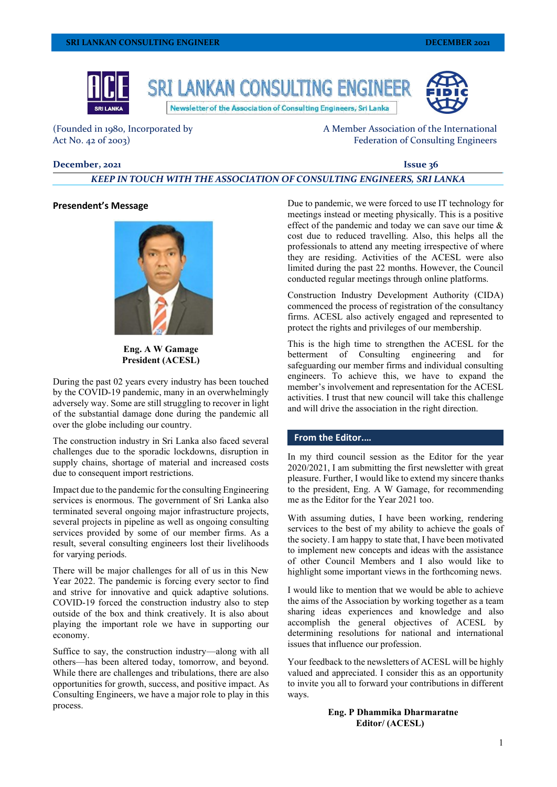

(Founded in 1980, Incorporated by Act No. 42 of 2003)

A Member Association of the International Federation of Consulting Engineers

## **December, 2021 Issue 36**

# *KEEP IN TOUCH WITH THE ASSOCIATION OF CONSULTING ENGINEERS, SRI LANKA*

## **Presendent's Message**



**Eng. A W Gamage President (ACESL)**

During the past 02 years every industry has been touched by the COVID-19 pandemic, many in an overwhelmingly adversely way. Some are still struggling to recover in light of the substantial damage done during the pandemic all over the globe including our country.

The construction industry in Sri Lanka also faced several challenges due to the sporadic lockdowns, disruption in supply chains, shortage of material and increased costs due to consequent import restrictions.

Impact due to the pandemic for the consulting Engineering services is enormous. The government of Sri Lanka also terminated several ongoing major infrastructure projects, several projects in pipeline as well as ongoing consulting services provided by some of our member firms. As a result, several consulting engineers lost their livelihoods for varying periods.

There will be major challenges for all of us in this New Year 2022. The pandemic is forcing every sector to find and strive for innovative and quick adaptive solutions. COVID-19 forced the construction industry also to step outside of the box and think creatively. It is also about playing the important role we have in supporting our economy.

Suffice to say, the construction industry—along with all others—has been altered today, tomorrow, and beyond. While there are challenges and tribulations, there are also opportunities for growth, success, and positive impact. As Consulting Engineers, we have a major role to play in this process.

Due to pandemic, we were forced to use IT technology for meetings instead or meeting physically. This is a positive effect of the pandemic and today we can save our time & cost due to reduced travelling. Also, this helps all the professionals to attend any meeting irrespective of where they are residing. Activities of the ACESL were also limited during the past 22 months. However, the Council conducted regular meetings through online platforms.

Construction Industry Development Authority (CIDA) commenced the process of registration of the consultancy firms. ACESL also actively engaged and represented to protect the rights and privileges of our membership.

This is the high time to strengthen the ACESL for the betterment of Consulting engineering and for safeguarding our member firms and individual consulting engineers. To achieve this, we have to expand the member's involvement and representation for the ACESL activities. I trust that new council will take this challenge and will drive the association in the right direction.

# **From the Editor.…**

In my third council session as the Editor for the year 2020/2021, I am submitting the first newsletter with great pleasure. Further, I would like to extend my sincere thanks to the president, Eng. A W Gamage, for recommending me as the Editor for the Year 2021 too.

With assuming duties, I have been working, rendering services to the best of my ability to achieve the goals of the society. I am happy to state that, I have been motivated to implement new concepts and ideas with the assistance of other Council Members and I also would like to highlight some important views in the forthcoming news.

I would like to mention that we would be able to achieve the aims of the Association by working together as a team sharing ideas experiences and knowledge and also accomplish the general objectives of ACESL by determining resolutions for national and international issues that influence our profession.

Your feedback to the newsletters of ACESL will be highly valued and appreciated. I consider this as an opportunity to invite you all to forward your contributions in different ways.

> **Eng. P Dhammika Dharmaratne Editor/ (ACESL)**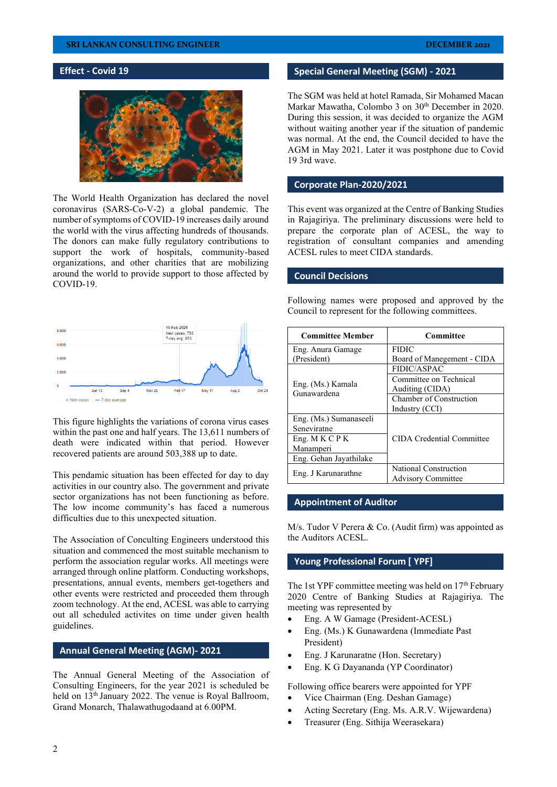# **SRI LANKAN CONSULTING ENGINEER**

# **Effect - Covid 19**



The World Health Organization has declared the novel coronavirus (SARS-Co-V-2) a global pandemic. The number of symptoms of COVID-19 increases daily around the world with the virus affecting hundreds of thousands. The donors can make fully regulatory contributions to support the work of hospitals, community-based organizations, and other charities that are mobilizing around the world to provide support to those affected by COVID-19.



This figure highlights the variations of corona virus cases within the past one and half years. The 13,611 numbers of death were indicated within that period. However recovered patients are around 503,388 up to date.

This pendamic situation has been effected for day to day activities in our country also. The government and private sector organizations has not been functioning as before. The low income community's has faced a numerous difficulties due to this unexpected situation.

The Association of Conculting Engineers understood this situation and commenced the most suitable mechanism to perform the association regular works. All meetings were arranged through online platform. Conducting workshops, presentations, annual events, members get-togethers and other events were restricted and proceeded them through zoom technology. At the end, ACESL was able to carrying out all scheduled activites on time under given health guidelines.

## **Annual General Meeting (AGM)- 2021**

The Annual General Meeting of the Association of Consulting Engineers, for the year 2021 is scheduled be held on 13<sup>th</sup> January 2022. The venue is Royal Ballroom, Grand Monarch, Thalawathugodaand at 6.00PM.

## **Special General Meeting (SGM) - 2021**

The SGM was held at hotel Ramada, Sir Mohamed Macan Markar Mawatha, Colombo 3 on 30<sup>th</sup> December in 2020. During this session, it was decided to organize the AGM without waiting another year if the situation of pandemic was normal. At the end, the Council decided to have the AGM in May 2021. Later it was postphone due to Covid 19 3rd wave.

## **Corporate Plan-2020/2021**

This event was organized at the Centre of Banking Studies in Rajagiriya. The preliminary discussions were held to prepare the corporate plan of ACESL, the way to registration of consultant companies and amending ACESL rules to meet CIDA standards.

## **Council Decisions**

Following names were proposed and approved by the Council to represent for the following committees.

| <b>Committee Member</b>          | Committee                  |
|----------------------------------|----------------------------|
| Eng. Anura Gamage                | <b>FIDIC</b>               |
| (President)                      | Board of Manegement - CIDA |
| Eng. (Ms.) Kamala<br>Gunawardena | <b>FIDIC/ASPAC</b>         |
|                                  | Committee on Technical     |
|                                  | Auditing (CIDA)            |
|                                  | Chamber of Construction    |
|                                  | Industry (CCI)             |
| Eng. (Ms.) Sumanaseeli           |                            |
| Seneviratne                      |                            |
| Eng. M K C P K                   | CIDA Credential Committee  |
| Manamperi                        |                            |
| Eng. Gehan Jayathilake           |                            |
| Eng. J Karunarathne              | National Construction      |
|                                  | <b>Advisory Committee</b>  |

#### **Appointment of Auditor**

M/s. Tudor V Perera & Co. (Audit firm) was appointed as the Auditors ACESL.

## **Young Professional Forum [ YPF]**

The 1st YPF committee meeting was held on  $17<sup>th</sup>$  February 2020 Centre of Banking Studies at Rajagiriya. The meeting was represented by

- Eng. A W Gamage (President-ACESL)
- Eng. (Ms.) K Gunawardena (Immediate Past President)
- Eng. J Karunaratne (Hon. Secretary)
- Eng. K G Dayananda (YP Coordinator)

Following office bearers were appointed for YPF

- Vice Chairman (Eng. Deshan Gamage)
- Acting Secretary (Eng. Ms. A.R.V. Wijewardena)
- Treasurer (Eng. Sithija Weerasekara)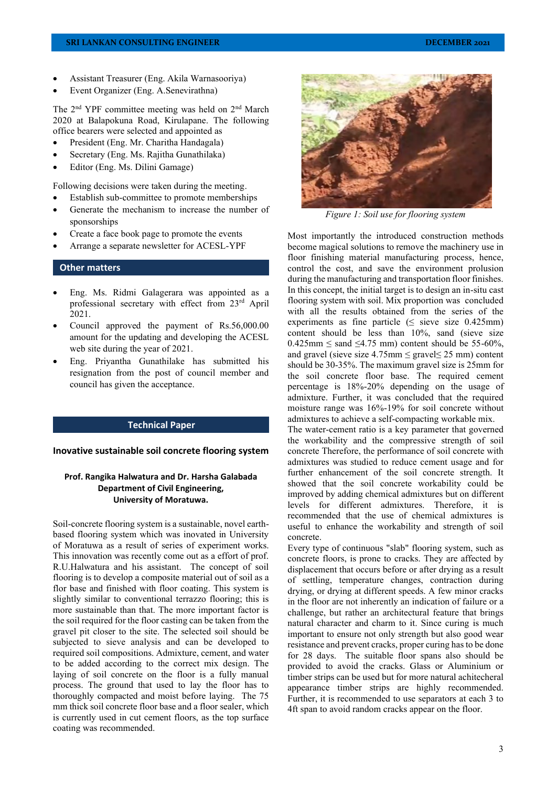- Assistant Treasurer (Eng. Akila Warnasooriya)
- Event Organizer (Eng. A.Senevirathna)

The 2nd YPF committee meeting was held on 2nd March 2020 at Balapokuna Road, Kirulapane. The following office bearers were selected and appointed as

- President (Eng. Mr. Charitha Handagala)
- Secretary (Eng. Ms. Rajitha Gunathilaka)
- Editor (Eng. Ms. Dilini Gamage)

Following decisions were taken during the meeting.

- Establish sub-committee to promote memberships
- Generate the mechanism to increase the number of sponsorships
- Create a face book page to promote the events
- Arrange a separate newsletter for ACESL-YPF

### **Other matters**

- Eng. Ms. Ridmi Galagerara was appointed as a professional secretary with effect from 23rd April 2021.
- Council approved the payment of Rs.56,000.00 amount for the updating and developing the ACESL web site during the year of 2021.
- Eng. Priyantha Gunathilake has submitted his resignation from the post of council member and council has given the acceptance.

## **Technical Paper**

## **Inovative sustainable soil concrete flooring system**

## **Prof. Rangika Halwatura and Dr. Harsha Galabada Department of Civil Engineering, University of Moratuwa.**

Soil-concrete flooring system is a sustainable, novel earthbased flooring system which was inovated in University of Moratuwa as a result of series of experiment works. This innovation was recently come out as a effort of prof. R.U.Halwatura and his assistant. The concept of soil flooring is to develop a composite material out of soil as a flor base and finished with floor coating. This system is slightly similar to conventional terrazzo flooring; this is more sustainable than that. The more important factor is the soil required for the floor casting can be taken from the gravel pit closer to the site. The selected soil should be subjected to sieve analysis and can be developed to required soil compositions. Admixture, cement, and water to be added according to the correct mix design. The laying of soil concrete on the floor is a fully manual process. The ground that used to lay the floor has to thoroughly compacted and moist before laying. The 75 mm thick soil concrete floor base and a floor sealer, which is currently used in cut cement floors, as the top surface coating was recommended.



*Figure 1: Soil use for flooring system*

Most importantly the introduced construction methods become magical solutions to remove the machinery use in floor finishing material manufacturing process, hence, control the cost, and save the environment prolusion during the manufacturing and transportation floor finishes. In this concept, the initial target is to design an in-situ cast flooring system with soil. Mix proportion was concluded with all the results obtained from the series of the experiments as fine particle ( $\leq$  sieve size 0.425mm) content should be less than 10%, sand (sieve size  $0.425$ mm  $\le$  sand  $\le$ 4.75 mm) content should be 55-60%. and gravel (sieve size  $4.75$ mm  $\leq$  gravel $\leq$  25 mm) content should be 30-35%. The maximum gravel size is 25mm for the soil concrete floor base. The required cement percentage is 18%-20% depending on the usage of admixture. Further, it was concluded that the required moisture range was 16%-19% for soil concrete without admixtures to achieve a self-compacting workable mix.

The water-cement ratio is a key parameter that governed the workability and the compressive strength of soil concrete Therefore, the performance of soil concrete with admixtures was studied to reduce cement usage and for further enhancement of the soil concrete strength. It showed that the soil concrete workability could be improved by adding chemical admixtures but on different levels for different admixtures. Therefore, it is recommended that the use of chemical admixtures is useful to enhance the workability and strength of soil concrete.

Every type of continuous "slab" flooring system, such as concrete floors, is prone to cracks. They are affected by displacement that occurs before or after drying as a result of settling, temperature changes, contraction during drying, or drying at different speeds. A few minor cracks in the floor are not inherently an indication of failure or a challenge, but rather an architectural feature that brings natural character and charm to it. Since curing is much important to ensure not only strength but also good wear resistance and prevent cracks, proper curing has to be done for 28 days. The suitable floor spans also should be provided to avoid the cracks. Glass or Aluminium or timber strips can be used but for more natural achitecheral appearance timber strips are highly recommended. Further, it is recommended to use separators at each 3 to 4ft span to avoid random cracks appear on the floor.